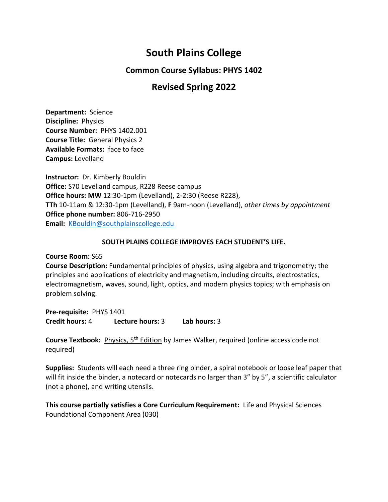# **South Plains College**

**Common Course Syllabus: PHYS 1402**

# **Revised Spring 2022**

**Department:** Science **Discipline:** Physics **Course Number:** PHYS 1402.001 **Course Title:** General Physics 2 **Available Formats:** face to face **Campus:** Levelland

**Instructor:** Dr. Kimberly Bouldin **Office:** S70 Levelland campus, R228 Reese campus **Office hours: MW** 12:30-1pm (Levelland), 2-2:30 (Reese R228), **TTh** 10-11am & 12:30-1pm (Levelland), **F** 9am-noon (Levelland), *other times by appointment* **Office phone number:** 806-716-2950 **Email:** [KBouldin@southplainscollege.edu](mailto:KBouldin@southplainscollege.edu)

## **SOUTH PLAINS COLLEGE IMPROVES EACH STUDENT'S LIFE.**

**Course Room:** S65

**Course Description:** Fundamental principles of physics, using algebra and trigonometry; the principles and applications of electricity and magnetism, including circuits, electrostatics, electromagnetism, waves, sound, light, optics, and modern physics topics; with emphasis on problem solving.

**Pre-requisite:** PHYS 1401 **Credit hours:** 4 **Lecture hours:** 3 **Lab hours:** 3

**Course Textbook:** Physics, 5th Edition by James Walker, required (online access code not required)

**Supplies:** Students will each need a three ring binder, a spiral notebook or loose leaf paper that will fit inside the binder, a notecard or notecards no larger than 3" by 5", a scientific calculator (not a phone), and writing utensils.

**This course partially satisfies a Core Curriculum Requirement:** Life and Physical Sciences Foundational Component Area (030)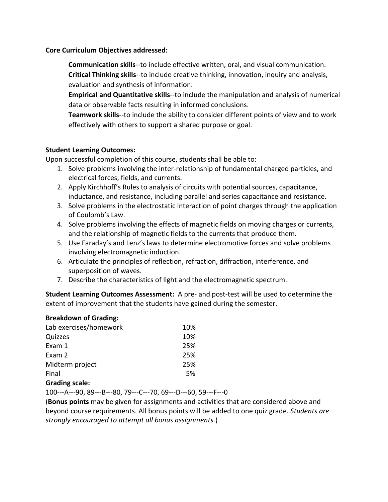#### **Core Curriculum Objectives addressed:**

**Communication skills**--to include effective written, oral, and visual communication. **Critical Thinking skills**--to include creative thinking, innovation, inquiry and analysis, evaluation and synthesis of information.

**Empirical and Quantitative skills**--to include the manipulation and analysis of numerical data or observable facts resulting in informed conclusions.

**Teamwork skills**--to include the ability to consider different points of view and to work effectively with others to support a shared purpose or goal.

#### **Student Learning Outcomes:**

Upon successful completion of this course, students shall be able to:

- 1. Solve problems involving the inter-relationship of fundamental charged particles, and electrical forces, fields, and currents.
- 2. Apply Kirchhoff's Rules to analysis of circuits with potential sources, capacitance, inductance, and resistance, including parallel and series capacitance and resistance.
- 3. Solve problems in the electrostatic interaction of point charges through the application of Coulomb's Law.
- 4. Solve problems involving the effects of magnetic fields on moving charges or currents, and the relationship of magnetic fields to the currents that produce them.
- 5. Use Faraday's and Lenz's laws to determine electromotive forces and solve problems involving electromagnetic induction.
- 6. Articulate the principles of reflection, refraction, diffraction, interference, and superposition of waves.
- 7. Describe the characteristics of light and the electromagnetic spectrum.

**Student Learning Outcomes Assessment:** A pre- and post-test will be used to determine the extent of improvement that the students have gained during the semester.

#### **Breakdown of Grading:**

| Lab exercises/homework | 10% |
|------------------------|-----|
| Quizzes                | 10% |
| Exam 1                 | 25% |
| Exam 2                 | 25% |
| Midterm project        | 25% |
| Final                  | .5% |
| <b>Grading scale:</b>  |     |

### 100---A---90, 89---B---80, 79---C---70, 69---D---60, 59---F---0

(**Bonus points** may be given for assignments and activities that are considered above and beyond course requirements. All bonus points will be added to one quiz grade. *Students are strongly encouraged to attempt all bonus assignments.*)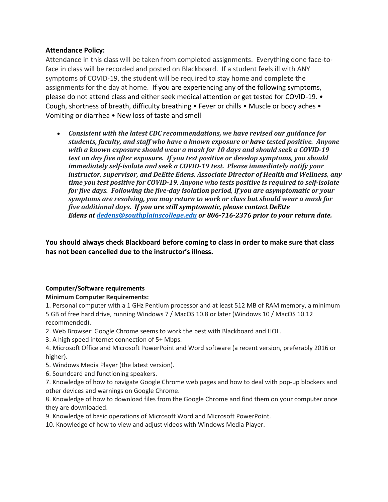#### **Attendance Policy:**

Attendance in this class will be taken from completed assignments. Everything done face-toface in class will be recorded and posted on Blackboard. If a student feels ill with ANY symptoms of COVID-19, the student will be required to stay home and complete the assignments for the day at home. If you are experiencing any of the following symptoms, please do not attend class and either seek medical attention or get tested for COVID-19. • Cough, shortness of breath, difficulty breathing • Fever or chills • Muscle or body aches • Vomiting or diarrhea • New loss of taste and smell

• *Consistent with the latest CDC recommendations, we have revised our guidance for students, faculty, and staff who have a known exposure or have tested positive. Anyone with a known exposure should wear a mask for 10 days and should seek a COVID-19 test on day five after exposure. If you test positive or develop symptoms, you should immediately self-isolate and seek a COVID-19 test. Please immediately notify your instructor, supervisor, and DeEtte Edens, Associate Director of Health and Wellness, any time you test positive for COVID-19. Anyone who tests positive is required to self-isolate for five days. Following the five-day isolation period, if you are asymptomatic or your symptoms are resolving, you may return to work or class but should wear a mask for five additional days. If you are still symptomatic, please contact DeEtte Edens at [dedens@southplainscollege.edu](mailto:dedens@southplainscollege.edu) or 806-716-2376 prior to your return date.*

**You should always check Blackboard before coming to class in order to make sure that class has not been cancelled due to the instructor's illness.**

#### **Computer/Software requirements**

#### **Minimum Computer Requirements:**

1. Personal computer with a 1 GHz Pentium processor and at least 512 MB of RAM memory, a minimum 5 GB of free hard drive, running Windows 7 / MacOS 10.8 or later (Windows 10 / MacOS 10.12 recommended).

- 2. Web Browser: Google Chrome seems to work the best with Blackboard and HOL.
- 3. A high speed internet connection of 5+ Mbps.
- 4. Microsoft Office and Microsoft PowerPoint and Word software (a recent version, preferably 2016 or higher).
- 5. Windows Media Player (the latest version).
- 6. Soundcard and functioning speakers.
- 7. Knowledge of how to navigate Google Chrome web pages and how to deal with pop-up blockers and other devices and warnings on Google Chrome.

8. Knowledge of how to download files from the Google Chrome and find them on your computer once they are downloaded.

- 9. Knowledge of basic operations of Microsoft Word and Microsoft PowerPoint.
- 10. Knowledge of how to view and adjust videos with Windows Media Player.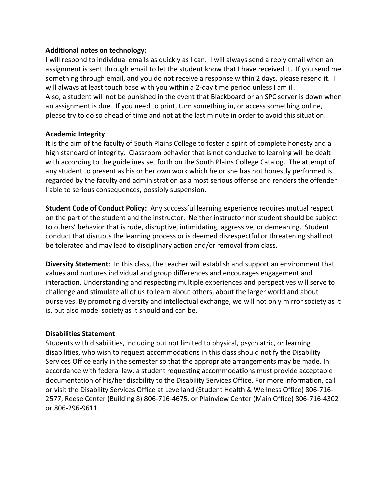#### **Additional notes on technology:**

I will respond to individual emails as quickly as I can. I will always send a reply email when an assignment is sent through email to let the student know that I have received it. If you send me something through email, and you do not receive a response within 2 days, please resend it. I will always at least touch base with you within a 2-day time period unless I am ill. Also, a student will not be punished in the event that Blackboard or an SPC server is down when an assignment is due. If you need to print, turn something in, or access something online, please try to do so ahead of time and not at the last minute in order to avoid this situation.

### **Academic Integrity**

It is the aim of the faculty of South Plains College to foster a spirit of complete honesty and a high standard of integrity. Classroom behavior that is not conducive to learning will be dealt with according to the guidelines set forth on the South Plains College Catalog. The attempt of any student to present as his or her own work which he or she has not honestly performed is regarded by the faculty and administration as a most serious offense and renders the offender liable to serious consequences, possibly suspension.

**Student Code of Conduct Policy:** Any successful learning experience requires mutual respect on the part of the student and the instructor. Neither instructor nor student should be subject to others' behavior that is rude, disruptive, intimidating, aggressive, or demeaning. Student conduct that disrupts the learning process or is deemed disrespectful or threatening shall not be tolerated and may lead to disciplinary action and/or removal from class.

**Diversity Statement**: In this class, the teacher will establish and support an environment that values and nurtures individual and group differences and encourages engagement and interaction. Understanding and respecting multiple experiences and perspectives will serve to challenge and stimulate all of us to learn about others, about the larger world and about ourselves. By promoting diversity and intellectual exchange, we will not only mirror society as it is, but also model society as it should and can be.

#### **Disabilities Statement**

Students with disabilities, including but not limited to physical, psychiatric, or learning disabilities, who wish to request accommodations in this class should notify the Disability Services Office early in the semester so that the appropriate arrangements may be made. In accordance with federal law, a student requesting accommodations must provide acceptable documentation of his/her disability to the Disability Services Office. For more information, call or visit the Disability Services Office at Levelland (Student Health & Wellness Office) 806-716- 2577, Reese Center (Building 8) 806-716-4675, or Plainview Center (Main Office) 806-716-4302 or 806-296-9611.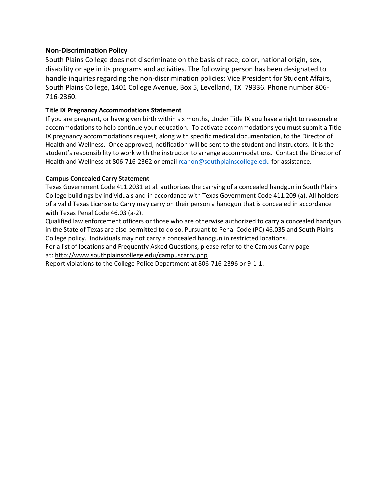#### **Non-Discrimination Policy**

South Plains College does not discriminate on the basis of race, color, national origin, sex, disability or age in its programs and activities. The following person has been designated to handle inquiries regarding the non-discrimination policies: Vice President for Student Affairs, South Plains College, 1401 College Avenue, Box 5, Levelland, TX 79336. Phone number 806- 716-2360.

#### **Title IX Pregnancy Accommodations Statement**

If you are pregnant, or have given birth within six months, Under Title IX you have a right to reasonable accommodations to help continue your education. To activate accommodations you must submit a Title IX pregnancy accommodations request, along with specific medical documentation, to the Director of Health and Wellness. Once approved, notification will be sent to the student and instructors. It is the student's responsibility to work with the instructor to arrange accommodations. Contact the Director of Health and Wellness at 806-716-2362 or email [rcanon@southplainscollege.edu](mailto:rcanon@southplainscollege.edu?subject=) for assistance.

#### **Campus Concealed Carry Statement**

Texas Government Code 411.2031 et al. authorizes the carrying of a concealed handgun in South Plains College buildings by individuals and in accordance with Texas Government Code 411.209 (a). All holders of a valid Texas License to Carry may carry on their person a handgun that is concealed in accordance with Texas Penal Code 46.03 (a-2).

Qualified law enforcement officers or those who are otherwise authorized to carry a concealed handgun in the State of Texas are also permitted to do so. Pursuant to Penal Code (PC) 46.035 and South Plains College policy. Individuals may not carry a concealed handgun in restricted locations.

For a list of locations and Frequently Asked Questions, please refer to the Campus Carry page at: <http://www.southplainscollege.edu/campuscarry.php>

Report violations to the College Police Department at 806-716-2396 or 9-1-1.